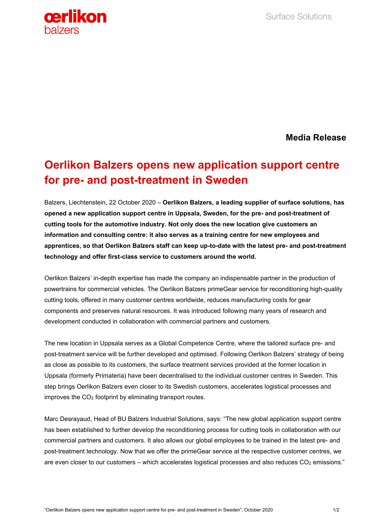

**Media Release**

## **Oerlikon Balzers opens new application support centre for pre- and post-treatment in Sweden**

Balzers, Liechtenstein, 22 October 2020 – **Oerlikon Balzers, a leading supplier of surface solutions, has opened a new application support centre in Uppsala, Sweden, for the pre- and post-treatment of cutting tools for the automotive industry. Not only does the new location give customers an information and consulting centre: it also serves as a training centre for new employees and apprentices, so that Oerlikon Balzers staff can keep up-to-date with the latest pre- and post-treatment technology and offer first-class service to customers around the world.**

Oerlikon Balzers' in-depth expertise has made the company an indispensable partner in the production of powertrains for commercial vehicles. The Oerlikon Balzers primeGear service for reconditioning high-quality cutting tools, offered in many customer centres worldwide, reduces manufacturing costs for gear components and preserves natural resources. It was introduced following many years of research and development conducted in collaboration with commercial partners and customers.

The new location in Uppsala serves as a Global Competence Centre, where the tailored surface pre- and post-treatment service will be further developed and optimised. Following Oerlikon Balzers' strategy of being as close as possible to its customers, the surface treatment services provided at the former location in Uppsala (formerly Primateria) have been decentralised to the individual customer centres in Sweden. This step brings Oerlikon Balzers even closer to its Swedish customers, accelerates logistical processes and improves the CO<sub>2</sub> footprint by eliminating transport routes.

Marc Desrayaud, Head of BU Balzers Industrial Solutions, says: "The new global application support centre has been established to further develop the reconditioning process for cutting tools in collaboration with our commercial partners and customers. It also allows our global employees to be trained in the latest pre- and post-treatment technology. Now that we offer the primeGear service at the respective customer centres, we are even closer to our customers – which accelerates logistical processes and also reduces  $CO<sub>2</sub>$  emissions."